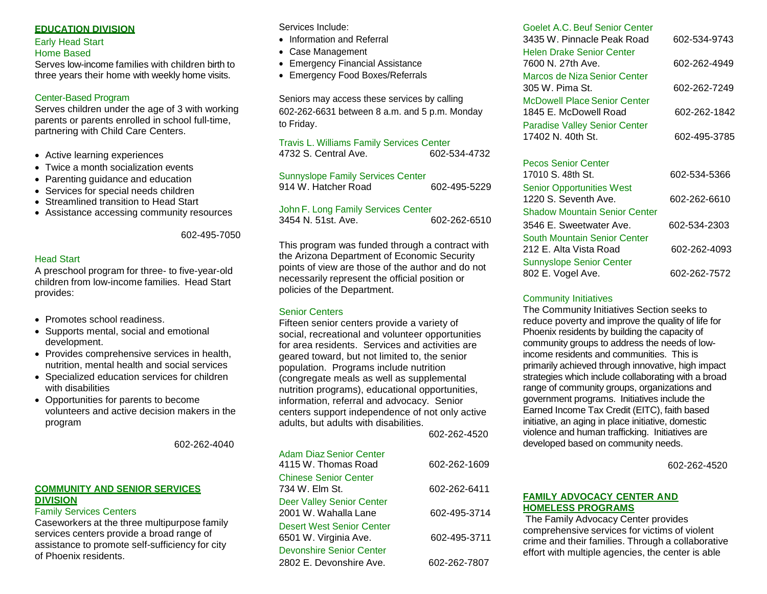### **EDUCATION DIVISION**

#### Early Head Start Home Based

Serves low-income families with children birth to three years their home with weekly home visits.

#### Center-Based Program

Serves children under the age of 3 with working parents or parents enrolled in school full-time, partnering with Child Care Centers.

- Active learning experiences
- Twice a month socialization events
- Parenting guidance and education
- Services for special needs children
- Streamlined transition to Head Start
- Assistance accessing community resources

602-495-7050

#### Head Start

A preschool program for three- to five-year-old children from low-income families. Head Start provides:

- Promotes school readiness.
- Supports mental, social and emotional development.
- Provides comprehensive services in health, nutrition, mental health and social services
- Specialized education services for children with disabilities
- Opportunities for parents to become volunteers and active decision makers in the program

602-262-4040

#### **COMMUNITY AND SENIOR SERVICES DIVISION**

#### Family Services Centers

Caseworkers at the three multipurpose family services centers provide a broad range of assistance to promote self-sufficiency for city of Phoenix residents.

Services Include:

- Information and Referral
- Case Management
- Emergency Financial Assistance
- Emergency Food Boxes/Referrals

Seniors may access these services by calling 602-262-6631 between 8 a.m. and 5 p.m. Monday to Friday.

#### Travis L. Williams Family Services Center 4732 S. Central Ave. 602-534-4732

| <b>Sunnyslope Family Services Center</b> |              |
|------------------------------------------|--------------|
| 914 W. Hatcher Road                      | 602-495-5229 |

John F. Long Family Services Center 3454 N. 51st. Ave. 602-262-6510

This program was funded through a contract with the Arizona Department of Economic Security points of view are those of the author and do not necessarily represent the official position or policies of the Department.

#### Senior Centers

Fifteen senior centers provide a variety of social, recreational and volunteer opportunities for area residents. Services and activities are geared toward, but not limited to, the senior population. Programs include nutrition (congregate meals as well as supplemental nutrition programs), educational opportunities, information, referral and advocacy. Senior centers support independence of not only active adults, but adults with disabilities.

602-262-4520

| <b>Adam Diaz Senior Center</b><br>4115 W. Thomas Road    | 602-262-1609 |
|----------------------------------------------------------|--------------|
| <b>Chinese Senior Center</b><br>734 W. Elm St.           | 602-262-6411 |
| <b>Deer Valley Senior Center</b><br>2001 W. Wahalla Lane | 602-495-3714 |
| Desert West Senior Center<br>6501 W. Virginia Ave.       | 602-495-3711 |
| Devonshire Senior Center<br>2802 E. Devonshire Ave.      | 602-262-7807 |
|                                                          |              |

| Goelet A.C. Beuf Senior Center<br>3435 W. Pinnacle Peak Road | 602-534-9743 |
|--------------------------------------------------------------|--------------|
| <b>Helen Drake Senior Center</b><br>7600 N. 27th Ave.        | 602-262-4949 |
| Marcos de Niza Senior Center<br>305 W. Pima St.              | 602-262-7249 |
| <b>McDowell Place Senior Center</b><br>1845 E. McDowell Road | 602-262-1842 |
| <b>Paradise Valley Senior Center</b><br>17402 N. 40th St.    | 602-495-3785 |

| <b>Pecos Senior Center</b>           |              |
|--------------------------------------|--------------|
| 17010 S. 48th St.                    | 602-534-5366 |
| <b>Senior Opportunities West</b>     |              |
| 1220 S. Seventh Ave.                 | 602-262-6610 |
| <b>Shadow Mountain Senior Center</b> |              |
| 3546 E. Sweetwater Ave.              | 602-534-2303 |
| South Mountain Senior Center         |              |
| 212 E. Alta Vista Road               | 602-262-4093 |
| <b>Sunnyslope Senior Center</b>      |              |
| 802 E. Vogel Ave.                    | 602-262-7572 |
|                                      |              |

#### Community Initiatives

The Community Initiatives Section seeks to reduce poverty and improve the quality of life for Phoenix residents by building the capacity of community groups to address the needs of lowincome residents and communities. This is primarily achieved through innovative, high impact strategies which include collaborating with a broad range of community groups, organizations and government programs. Initiatives include the Earned Income Tax Credit (EITC), faith based initiative, an aging in place initiative, domestic violence and human trafficking. Initiatives are developed based on community needs.

602-262-4520

### **FAMILY ADVOCACY CENTER AND HOMELESS PROGRAMS**

The Family Advocacy Center provides comprehensive services for victims of violent crime and their families. Through a collaborative effort with multiple agencies, the center is able